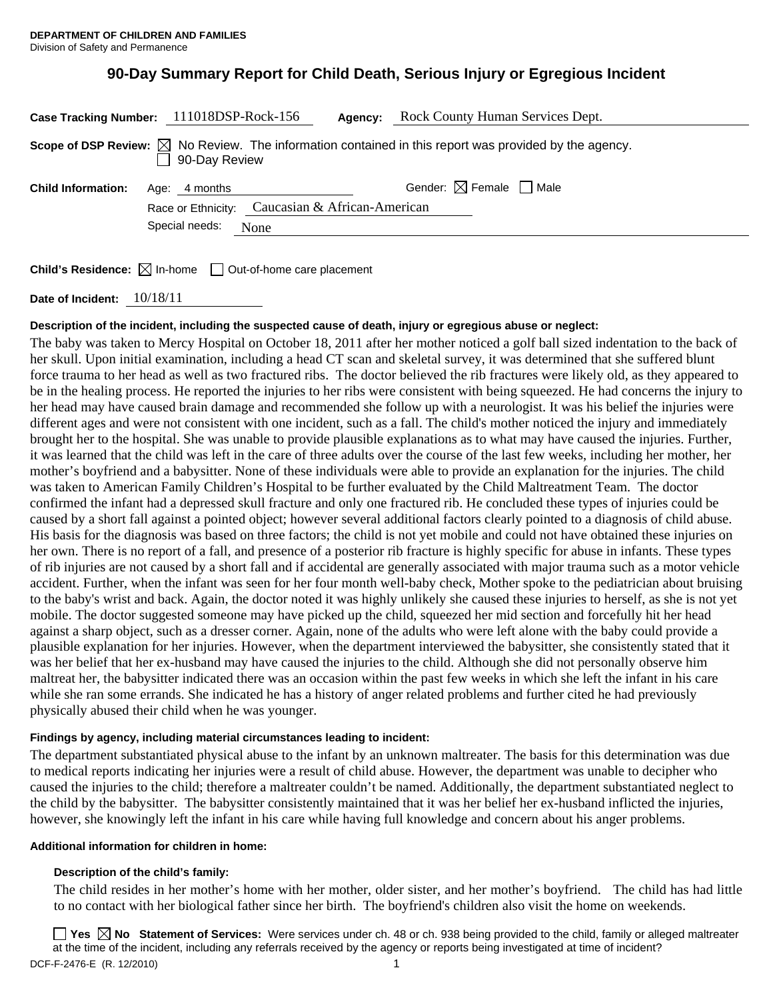# **90-Day Summary Report for Child Death, Serious Injury or Egregious Incident**

| Case Tracking Number: 111018DSP-Rock-156 |                      |                                                 | Agency: | Rock County Human Services Dept.                                                                                 |
|------------------------------------------|----------------------|-------------------------------------------------|---------|------------------------------------------------------------------------------------------------------------------|
|                                          | $\Box$ 90-Day Review |                                                 |         | Scope of DSP Review: $\boxtimes$ No Review. The information contained in this report was provided by the agency. |
| <b>Child Information:</b>                | Age: 4 months        |                                                 |         | Gender: $\boxtimes$ Female $\Box$ Male                                                                           |
|                                          |                      | Race or Ethnicity: Caucasian & African-American |         |                                                                                                                  |
|                                          | Special needs:       | None                                            |         |                                                                                                                  |
|                                          |                      |                                                 |         |                                                                                                                  |

**Child's Residence:**  $\boxtimes$  In-home  $\Box$  Out-of-home care placement

**Date of Incident:** 10/18/11

# **Description of the incident, including the suspected cause of death, injury or egregious abuse or neglect:**

The baby was taken to Mercy Hospital on October 18, 2011 after her mother noticed a golf ball sized indentation to the back of her skull. Upon initial examination, including a head CT scan and skeletal survey, it was determined that she suffered blunt force trauma to her head as well as two fractured ribs. The doctor believed the rib fractures were likely old, as they appeared to be in the healing process. He reported the injuries to her ribs were consistent with being squeezed. He had concerns the injury to her head may have caused brain damage and recommended she follow up with a neurologist. It was his belief the injuries were different ages and were not consistent with one incident, such as a fall. The child's mother noticed the injury and immediately brought her to the hospital. She was unable to provide plausible explanations as to what may have caused the injuries. Further, it was learned that the child was left in the care of three adults over the course of the last few weeks, including her mother, her mother's boyfriend and a babysitter. None of these individuals were able to provide an explanation for the injuries. The child was taken to American Family Children's Hospital to be further evaluated by the Child Maltreatment Team. The doctor confirmed the infant had a depressed skull fracture and only one fractured rib. He concluded these types of injuries could be caused by a short fall against a pointed object; however several additional factors clearly pointed to a diagnosis of child abuse. His basis for the diagnosis was based on three factors; the child is not yet mobile and could not have obtained these injuries on her own. There is no report of a fall, and presence of a posterior rib fracture is highly specific for abuse in infants. These types of rib injuries are not caused by a short fall and if accidental are generally associated with major trauma such as a motor vehicle accident. Further, when the infant was seen for her four month well-baby check, Mother spoke to the pediatrician about bruising to the baby's wrist and back. Again, the doctor noted it was highly unlikely she caused these injuries to herself, as she is not yet mobile. The doctor suggested someone may have picked up the child, squeezed her mid section and forcefully hit her head against a sharp object, such as a dresser corner. Again, none of the adults who were left alone with the baby could provide a plausible explanation for her injuries. However, when the department interviewed the babysitter, she consistently stated that it was her belief that her ex-husband may have caused the injuries to the child. Although she did not personally observe him maltreat her, the babysitter indicated there was an occasion within the past few weeks in which she left the infant in his care while she ran some errands. She indicated he has a history of anger related problems and further cited he had previously physically abused their child when he was younger.

## **Findings by agency, including material circumstances leading to incident:**

The department substantiated physical abuse to the infant by an unknown maltreater. The basis for this determination was due to medical reports indicating her injuries were a result of child abuse. However, the department was unable to decipher who caused the injuries to the child; therefore a maltreater couldn't be named. Additionally, the department substantiated neglect to the child by the babysitter. The babysitter consistently maintained that it was her belief her ex-husband inflicted the injuries, however, she knowingly left the infant in his care while having full knowledge and concern about his anger problems.

## **Additional information for children in home:**

## **Description of the child's family:**

The child resides in her mother's home with her mother, older sister, and her mother's boyfriend. The child has had little to no contact with her biological father since her birth. The boyfriend's children also visit the home on weekends.

DCF-F-2476-E (R. 12/2010) 1 ■ Yes △ No Statement of Services: Were services under ch. 48 or ch. 938 being provided to the child, family or alleged maltreater at the time of the incident, including any referrals received by the agency or reports being investigated at time of incident?